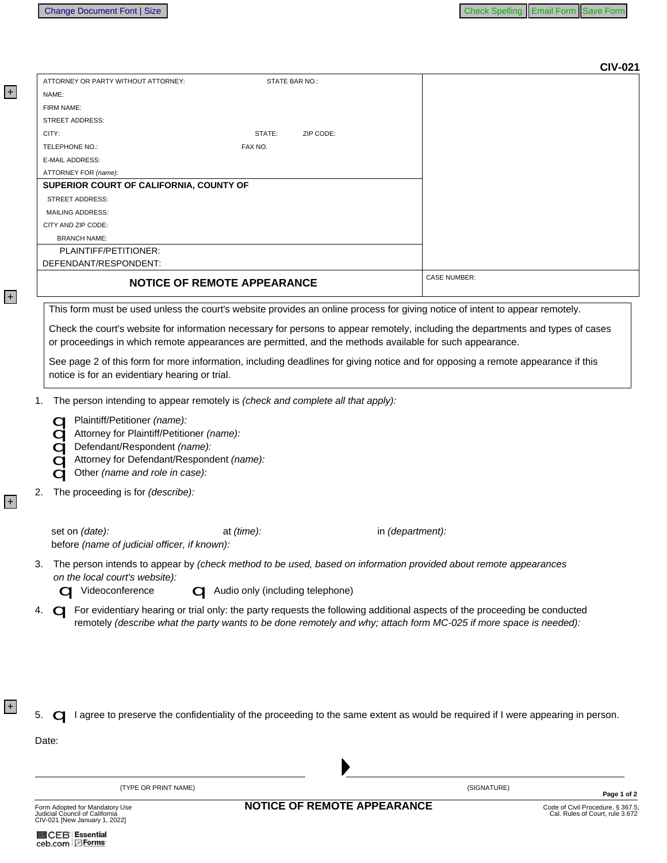| ATTORNEY OR PARTY WITHOUT ATTORNEY:<br>STATE BAR NO.:<br>NAME:<br>FIRM NAME:<br><b>STREET ADDRESS:</b><br>CITY:<br>ZIP CODE:<br>STATE:<br>TELEPHONE NO.:<br>FAX NO.<br><b>E-MAIL ADDRESS:</b><br>ATTORNEY FOR (name):<br>SUPERIOR COURT OF CALIFORNIA, COUNTY OF<br><b>STREET ADDRESS:</b><br><b>MAILING ADDRESS:</b><br>CITY AND ZIP CODE:<br><b>BRANCH NAME:</b><br>PLAINTIFF/PETITIONER:<br>DEFENDANT/RESPONDENT:<br><b>CASE NUMBER:</b><br><b>NOTICE OF REMOTE APPEARANCE</b><br>This form must be used unless the court's website provides an online process for giving notice of intent to appear remotely.<br>Check the court's website for information necessary for persons to appear remotely, including the departments and types of cases<br>or proceedings in which remote appearances are permitted, and the methods available for such appearance.<br>See page 2 of this form for more information, including deadlines for giving notice and for opposing a remote appearance if this<br>notice is for an evidentiary hearing or trial.<br>The person intending to appear remotely is (check and complete all that apply):<br>1.<br>Plaintiff/Petitioner (name):<br>Attorney for Plaintiff/Petitioner (name):<br>Defendant/Respondent (name):<br>Attorney for Defendant/Respondent (name):<br>Other (name and role in case):<br>The proceeding is for (describe):<br>2.<br>set on (date):<br>in (department):<br>at $(time)$ :<br>before (name of judicial officer, if known):<br>The person intends to appear by (check method to be used, based on information provided about remote appearances<br>3.<br>on the local court's website):<br>Videoconference<br>Audio only (including telephone)<br>For evidentiary hearing or trial only: the party requests the following additional aspects of the proceeding be conducted<br>4.<br>remotely (describe what the party wants to be done remotely and why; attach form MC-025 if more space is needed):<br>I agree to preserve the confidentiality of the proceeding to the same extent as would be required if I were appearing in person.<br>5.<br>Date:<br>(SIGNATURE) |                      |  | <b>CIV-021</b> |
|---------------------------------------------------------------------------------------------------------------------------------------------------------------------------------------------------------------------------------------------------------------------------------------------------------------------------------------------------------------------------------------------------------------------------------------------------------------------------------------------------------------------------------------------------------------------------------------------------------------------------------------------------------------------------------------------------------------------------------------------------------------------------------------------------------------------------------------------------------------------------------------------------------------------------------------------------------------------------------------------------------------------------------------------------------------------------------------------------------------------------------------------------------------------------------------------------------------------------------------------------------------------------------------------------------------------------------------------------------------------------------------------------------------------------------------------------------------------------------------------------------------------------------------------------------------------------------------------------------------------------------------------------------------------------------------------------------------------------------------------------------------------------------------------------------------------------------------------------------------------------------------------------------------------------------------------------------------------------------------------------------------------------------------------------------------------------------------------------------------------------------------------|----------------------|--|----------------|
|                                                                                                                                                                                                                                                                                                                                                                                                                                                                                                                                                                                                                                                                                                                                                                                                                                                                                                                                                                                                                                                                                                                                                                                                                                                                                                                                                                                                                                                                                                                                                                                                                                                                                                                                                                                                                                                                                                                                                                                                                                                                                                                                             |                      |  |                |
|                                                                                                                                                                                                                                                                                                                                                                                                                                                                                                                                                                                                                                                                                                                                                                                                                                                                                                                                                                                                                                                                                                                                                                                                                                                                                                                                                                                                                                                                                                                                                                                                                                                                                                                                                                                                                                                                                                                                                                                                                                                                                                                                             |                      |  |                |
|                                                                                                                                                                                                                                                                                                                                                                                                                                                                                                                                                                                                                                                                                                                                                                                                                                                                                                                                                                                                                                                                                                                                                                                                                                                                                                                                                                                                                                                                                                                                                                                                                                                                                                                                                                                                                                                                                                                                                                                                                                                                                                                                             |                      |  |                |
|                                                                                                                                                                                                                                                                                                                                                                                                                                                                                                                                                                                                                                                                                                                                                                                                                                                                                                                                                                                                                                                                                                                                                                                                                                                                                                                                                                                                                                                                                                                                                                                                                                                                                                                                                                                                                                                                                                                                                                                                                                                                                                                                             |                      |  |                |
|                                                                                                                                                                                                                                                                                                                                                                                                                                                                                                                                                                                                                                                                                                                                                                                                                                                                                                                                                                                                                                                                                                                                                                                                                                                                                                                                                                                                                                                                                                                                                                                                                                                                                                                                                                                                                                                                                                                                                                                                                                                                                                                                             |                      |  |                |
|                                                                                                                                                                                                                                                                                                                                                                                                                                                                                                                                                                                                                                                                                                                                                                                                                                                                                                                                                                                                                                                                                                                                                                                                                                                                                                                                                                                                                                                                                                                                                                                                                                                                                                                                                                                                                                                                                                                                                                                                                                                                                                                                             |                      |  |                |
|                                                                                                                                                                                                                                                                                                                                                                                                                                                                                                                                                                                                                                                                                                                                                                                                                                                                                                                                                                                                                                                                                                                                                                                                                                                                                                                                                                                                                                                                                                                                                                                                                                                                                                                                                                                                                                                                                                                                                                                                                                                                                                                                             |                      |  |                |
|                                                                                                                                                                                                                                                                                                                                                                                                                                                                                                                                                                                                                                                                                                                                                                                                                                                                                                                                                                                                                                                                                                                                                                                                                                                                                                                                                                                                                                                                                                                                                                                                                                                                                                                                                                                                                                                                                                                                                                                                                                                                                                                                             |                      |  |                |
|                                                                                                                                                                                                                                                                                                                                                                                                                                                                                                                                                                                                                                                                                                                                                                                                                                                                                                                                                                                                                                                                                                                                                                                                                                                                                                                                                                                                                                                                                                                                                                                                                                                                                                                                                                                                                                                                                                                                                                                                                                                                                                                                             |                      |  |                |
|                                                                                                                                                                                                                                                                                                                                                                                                                                                                                                                                                                                                                                                                                                                                                                                                                                                                                                                                                                                                                                                                                                                                                                                                                                                                                                                                                                                                                                                                                                                                                                                                                                                                                                                                                                                                                                                                                                                                                                                                                                                                                                                                             |                      |  |                |
|                                                                                                                                                                                                                                                                                                                                                                                                                                                                                                                                                                                                                                                                                                                                                                                                                                                                                                                                                                                                                                                                                                                                                                                                                                                                                                                                                                                                                                                                                                                                                                                                                                                                                                                                                                                                                                                                                                                                                                                                                                                                                                                                             |                      |  |                |
|                                                                                                                                                                                                                                                                                                                                                                                                                                                                                                                                                                                                                                                                                                                                                                                                                                                                                                                                                                                                                                                                                                                                                                                                                                                                                                                                                                                                                                                                                                                                                                                                                                                                                                                                                                                                                                                                                                                                                                                                                                                                                                                                             |                      |  |                |
|                                                                                                                                                                                                                                                                                                                                                                                                                                                                                                                                                                                                                                                                                                                                                                                                                                                                                                                                                                                                                                                                                                                                                                                                                                                                                                                                                                                                                                                                                                                                                                                                                                                                                                                                                                                                                                                                                                                                                                                                                                                                                                                                             |                      |  |                |
|                                                                                                                                                                                                                                                                                                                                                                                                                                                                                                                                                                                                                                                                                                                                                                                                                                                                                                                                                                                                                                                                                                                                                                                                                                                                                                                                                                                                                                                                                                                                                                                                                                                                                                                                                                                                                                                                                                                                                                                                                                                                                                                                             |                      |  |                |
|                                                                                                                                                                                                                                                                                                                                                                                                                                                                                                                                                                                                                                                                                                                                                                                                                                                                                                                                                                                                                                                                                                                                                                                                                                                                                                                                                                                                                                                                                                                                                                                                                                                                                                                                                                                                                                                                                                                                                                                                                                                                                                                                             |                      |  |                |
|                                                                                                                                                                                                                                                                                                                                                                                                                                                                                                                                                                                                                                                                                                                                                                                                                                                                                                                                                                                                                                                                                                                                                                                                                                                                                                                                                                                                                                                                                                                                                                                                                                                                                                                                                                                                                                                                                                                                                                                                                                                                                                                                             |                      |  |                |
|                                                                                                                                                                                                                                                                                                                                                                                                                                                                                                                                                                                                                                                                                                                                                                                                                                                                                                                                                                                                                                                                                                                                                                                                                                                                                                                                                                                                                                                                                                                                                                                                                                                                                                                                                                                                                                                                                                                                                                                                                                                                                                                                             |                      |  |                |
|                                                                                                                                                                                                                                                                                                                                                                                                                                                                                                                                                                                                                                                                                                                                                                                                                                                                                                                                                                                                                                                                                                                                                                                                                                                                                                                                                                                                                                                                                                                                                                                                                                                                                                                                                                                                                                                                                                                                                                                                                                                                                                                                             |                      |  |                |
|                                                                                                                                                                                                                                                                                                                                                                                                                                                                                                                                                                                                                                                                                                                                                                                                                                                                                                                                                                                                                                                                                                                                                                                                                                                                                                                                                                                                                                                                                                                                                                                                                                                                                                                                                                                                                                                                                                                                                                                                                                                                                                                                             |                      |  |                |
|                                                                                                                                                                                                                                                                                                                                                                                                                                                                                                                                                                                                                                                                                                                                                                                                                                                                                                                                                                                                                                                                                                                                                                                                                                                                                                                                                                                                                                                                                                                                                                                                                                                                                                                                                                                                                                                                                                                                                                                                                                                                                                                                             |                      |  |                |
|                                                                                                                                                                                                                                                                                                                                                                                                                                                                                                                                                                                                                                                                                                                                                                                                                                                                                                                                                                                                                                                                                                                                                                                                                                                                                                                                                                                                                                                                                                                                                                                                                                                                                                                                                                                                                                                                                                                                                                                                                                                                                                                                             |                      |  |                |
|                                                                                                                                                                                                                                                                                                                                                                                                                                                                                                                                                                                                                                                                                                                                                                                                                                                                                                                                                                                                                                                                                                                                                                                                                                                                                                                                                                                                                                                                                                                                                                                                                                                                                                                                                                                                                                                                                                                                                                                                                                                                                                                                             |                      |  |                |
|                                                                                                                                                                                                                                                                                                                                                                                                                                                                                                                                                                                                                                                                                                                                                                                                                                                                                                                                                                                                                                                                                                                                                                                                                                                                                                                                                                                                                                                                                                                                                                                                                                                                                                                                                                                                                                                                                                                                                                                                                                                                                                                                             |                      |  |                |
|                                                                                                                                                                                                                                                                                                                                                                                                                                                                                                                                                                                                                                                                                                                                                                                                                                                                                                                                                                                                                                                                                                                                                                                                                                                                                                                                                                                                                                                                                                                                                                                                                                                                                                                                                                                                                                                                                                                                                                                                                                                                                                                                             |                      |  |                |
|                                                                                                                                                                                                                                                                                                                                                                                                                                                                                                                                                                                                                                                                                                                                                                                                                                                                                                                                                                                                                                                                                                                                                                                                                                                                                                                                                                                                                                                                                                                                                                                                                                                                                                                                                                                                                                                                                                                                                                                                                                                                                                                                             |                      |  |                |
|                                                                                                                                                                                                                                                                                                                                                                                                                                                                                                                                                                                                                                                                                                                                                                                                                                                                                                                                                                                                                                                                                                                                                                                                                                                                                                                                                                                                                                                                                                                                                                                                                                                                                                                                                                                                                                                                                                                                                                                                                                                                                                                                             |                      |  |                |
|                                                                                                                                                                                                                                                                                                                                                                                                                                                                                                                                                                                                                                                                                                                                                                                                                                                                                                                                                                                                                                                                                                                                                                                                                                                                                                                                                                                                                                                                                                                                                                                                                                                                                                                                                                                                                                                                                                                                                                                                                                                                                                                                             |                      |  |                |
|                                                                                                                                                                                                                                                                                                                                                                                                                                                                                                                                                                                                                                                                                                                                                                                                                                                                                                                                                                                                                                                                                                                                                                                                                                                                                                                                                                                                                                                                                                                                                                                                                                                                                                                                                                                                                                                                                                                                                                                                                                                                                                                                             |                      |  |                |
|                                                                                                                                                                                                                                                                                                                                                                                                                                                                                                                                                                                                                                                                                                                                                                                                                                                                                                                                                                                                                                                                                                                                                                                                                                                                                                                                                                                                                                                                                                                                                                                                                                                                                                                                                                                                                                                                                                                                                                                                                                                                                                                                             | (TYPE OR PRINT NAME) |  |                |

| Form Adopted for Mandatory Use<br>Judicial Council of California<br>CIV-021 [New January 1, 2022] |  |  |
|---------------------------------------------------------------------------------------------------|--|--|
| <b>MICEB</b> Essential<br>ceb.com EForms                                                          |  |  |

+

+

 $+$ 

+